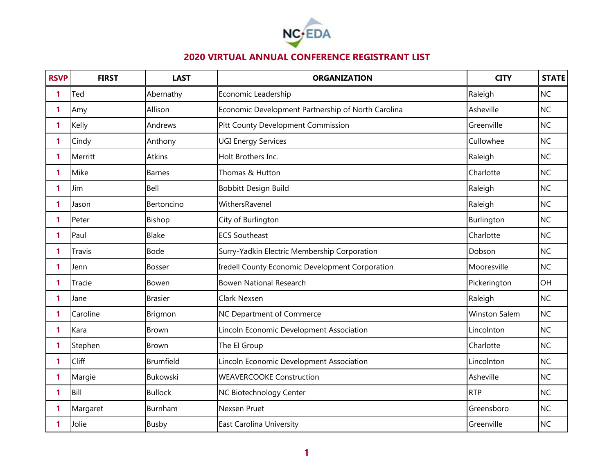

| <b>RSVP</b> | <b>FIRST</b> | <b>LAST</b>      | <b>ORGANIZATION</b>                                | <b>CITY</b>   | <b>STATE</b> |
|-------------|--------------|------------------|----------------------------------------------------|---------------|--------------|
| 1           | Ted          | Abernathy        | Economic Leadership                                | Raleigh       | <b>NC</b>    |
| 1           | Amy          | Allison          | Economic Development Partnership of North Carolina | Asheville     | <b>NC</b>    |
| 1           | Kelly        | Andrews          | Pitt County Development Commission                 | Greenville    | <b>NC</b>    |
| 1           | Cindy        | Anthony          | <b>UGI Energy Services</b>                         | Cullowhee     | <b>NC</b>    |
| 1           | Merritt      | <b>Atkins</b>    | Holt Brothers Inc.                                 | Raleigh       | <b>NC</b>    |
| 1           | Mike         | <b>Barnes</b>    | Thomas & Hutton                                    | Charlotte     | <b>NC</b>    |
| 1           | Jim          | Bell             | Bobbitt Design Build                               | Raleigh       | <b>NC</b>    |
| 1           | Jason        | Bertoncino       | WithersRavenel                                     | Raleigh       | <b>NC</b>    |
| 1           | Peter        | Bishop           | City of Burlington                                 | Burlington    | <b>NC</b>    |
| 1           | Paul         | <b>Blake</b>     | <b>ECS Southeast</b>                               | Charlotte     | <b>NC</b>    |
| 1           | Travis       | <b>Bode</b>      | Surry-Yadkin Electric Membership Corporation       | Dobson        | <b>NC</b>    |
| 1           | Jenn         | <b>Bosser</b>    | Iredell County Economic Development Corporation    | Mooresville   | <b>NC</b>    |
| 1           | Tracie       | Bowen            | <b>Bowen National Research</b>                     | Pickerington  | OH           |
| 1           | Jane         | <b>Brasier</b>   | Clark Nexsen                                       | Raleigh       | <b>NC</b>    |
| 1           | Caroline     | Brigmon          | NC Department of Commerce                          | Winston Salem | <b>NC</b>    |
| 1           | Kara         | Brown            | Lincoln Economic Development Association           | Lincolnton    | <b>NC</b>    |
| 1           | Stephen      | <b>Brown</b>     | The EI Group                                       | Charlotte     | <b>NC</b>    |
| 1           | Cliff        | <b>Brumfield</b> | Lincoln Economic Development Association           | Lincolnton    | <b>NC</b>    |
| 1           | Margie       | <b>Bukowski</b>  | <b>WEAVERCOOKE Construction</b>                    | Asheville     | <b>NC</b>    |
| 1           | Bill         | <b>Bullock</b>   | NC Biotechnology Center                            | <b>RTP</b>    | <b>NC</b>    |
| 1           | Margaret     | Burnham          | Nexsen Pruet                                       | Greensboro    | <b>NC</b>    |
| 1           | Jolie        | Busby            | East Carolina University                           | Greenville    | <b>NC</b>    |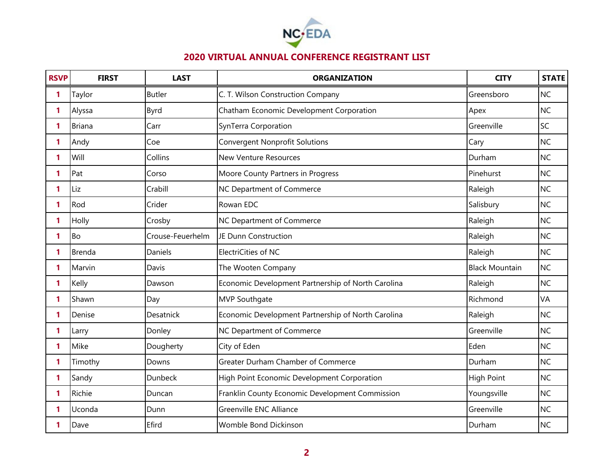

| <b>RSVP</b>  | <b>FIRST</b>  | <b>LAST</b>      | <b>ORGANIZATION</b>                                | <b>CITY</b>           | <b>STATE</b> |
|--------------|---------------|------------------|----------------------------------------------------|-----------------------|--------------|
| $\mathbf{1}$ | Taylor        | <b>Butler</b>    | C. T. Wilson Construction Company                  | Greensboro            | <b>NC</b>    |
| 1            | Alyssa        | Byrd             | Chatham Economic Development Corporation           | Apex                  | <b>NC</b>    |
| 1            | <b>Briana</b> | Carr             | SynTerra Corporation                               | Greenville            | SC           |
| 1            | Andy          | Coe              | <b>Convergent Nonprofit Solutions</b>              | Cary                  | <b>NC</b>    |
| 1            | Will          | Collins          | New Venture Resources                              | Durham                | <b>NC</b>    |
| $\mathbf{1}$ | Pat           | Corso            | Moore County Partners in Progress                  | Pinehurst             | <b>NC</b>    |
| 1            | Liz           | Crabill          | NC Department of Commerce                          | Raleigh               | <b>NC</b>    |
| 1            | Rod           | Crider           | Rowan EDC                                          | Salisbury             | <b>NC</b>    |
| 1            | Holly         | Crosby           | NC Department of Commerce                          | Raleigh               | <b>NC</b>    |
| 1            | <b>Bo</b>     | Crouse-Feuerhelm | JE Dunn Construction                               | Raleigh               | <b>NC</b>    |
| 1            | <b>Brenda</b> | Daniels          | ElectriCities of NC                                | Raleigh               | <b>NC</b>    |
| 1            | Marvin        | Davis            | The Wooten Company                                 | <b>Black Mountain</b> | <b>NC</b>    |
| 1            | Kelly         | Dawson           | Economic Development Partnership of North Carolina | Raleigh               | <b>NC</b>    |
| 1            | Shawn         | Day              | <b>MVP Southgate</b>                               | Richmond              | VA           |
| 1            | Denise        | <b>Desatnick</b> | Economic Development Partnership of North Carolina | Raleigh               | <b>NC</b>    |
| 1            | Larry         | Donley           | NC Department of Commerce                          | Greenville            | <b>NC</b>    |
| 1            | Mike          | Dougherty        | City of Eden                                       | Eden                  | <b>NC</b>    |
| 1            | Timothy       | Downs            | Greater Durham Chamber of Commerce                 | Durham                | <b>NC</b>    |
| 1            | Sandy         | Dunbeck          | High Point Economic Development Corporation        | <b>High Point</b>     | <b>NC</b>    |
| 1            | Richie        | Duncan           | Franklin County Economic Development Commission    | Youngsville           | <b>NC</b>    |
| 1            | Uconda        | Dunn             | Greenville ENC Alliance                            | Greenville            | <b>NC</b>    |
| 1            | Dave          | Efird            | Womble Bond Dickinson                              | Durham                | <b>NC</b>    |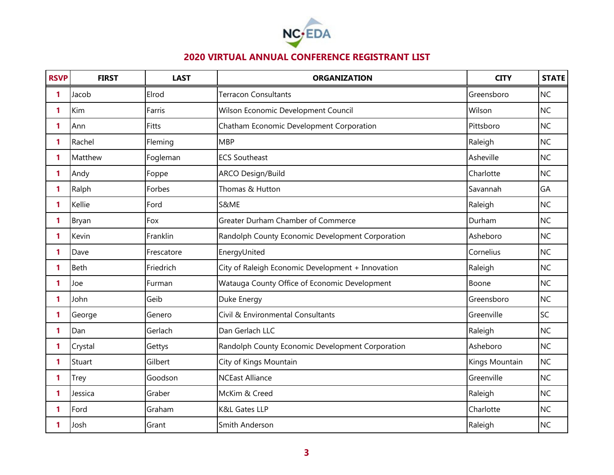

| <b>RSVP</b> | <b>FIRST</b> | <b>LAST</b> | <b>ORGANIZATION</b>                               | <b>CITY</b>    | <b>STATE</b> |
|-------------|--------------|-------------|---------------------------------------------------|----------------|--------------|
| 1           | Jacob        | Elrod       | <b>Terracon Consultants</b>                       | Greensboro     | <b>NC</b>    |
| 1           | Kim          | Farris      | Wilson Economic Development Council               | Wilson         | <b>NC</b>    |
| 1           | Ann          | Fitts       | Chatham Economic Development Corporation          | Pittsboro      | <b>NC</b>    |
| 1           | Rachel       | Fleming     | <b>MBP</b>                                        | Raleigh        | <b>NC</b>    |
| 1           | Matthew      | Fogleman    | <b>ECS Southeast</b>                              | Asheville      | <b>NC</b>    |
| 1           | Andy         | Foppe       | <b>ARCO Design/Build</b>                          | Charlotte      | <b>NC</b>    |
| 1           | Ralph        | Forbes      | Thomas & Hutton                                   | Savannah       | GA           |
| 1           | Kellie       | Ford        | S&ME                                              | Raleigh        | <b>NC</b>    |
| 1           | Bryan        | Fox         | Greater Durham Chamber of Commerce                | Durham         | <b>NC</b>    |
| 1           | Kevin        | Franklin    | Randolph County Economic Development Corporation  | Asheboro       | <b>NC</b>    |
| 1           | Dave         | Frescatore  | EnergyUnited                                      | Cornelius      | <b>NC</b>    |
| 1           | Beth         | Friedrich   | City of Raleigh Economic Development + Innovation | Raleigh        | <b>NC</b>    |
| 1           | Joe          | Furman      | Watauga County Office of Economic Development     | Boone          | <b>NC</b>    |
| 1           | John         | Geib        | Duke Energy                                       | Greensboro     | <b>NC</b>    |
| 1           | George       | Genero      | Civil & Environmental Consultants                 | Greenville     | SC           |
| 1           | Dan          | Gerlach     | Dan Gerlach LLC                                   | Raleigh        | <b>NC</b>    |
| 1           | Crystal      | Gettys      | Randolph County Economic Development Corporation  | Asheboro       | <b>NC</b>    |
| 1           | Stuart       | Gilbert     | City of Kings Mountain                            | Kings Mountain | <b>NC</b>    |
| 1           | <b>Trey</b>  | Goodson     | <b>NCEast Alliance</b>                            | Greenville     | <b>NC</b>    |
| 1           | Jessica      | Graber      | McKim & Creed                                     | Raleigh        | <b>NC</b>    |
| 1           | Ford         | Graham      | K&L Gates LLP                                     | Charlotte      | <b>NC</b>    |
| 1           | Josh         | Grant       | Smith Anderson                                    | Raleigh        | <b>NC</b>    |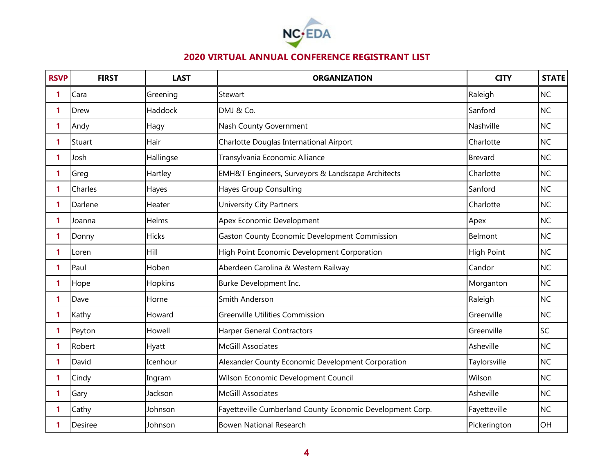

| <b>RSVP</b>  | <b>FIRST</b>   | <b>LAST</b>  | <b>ORGANIZATION</b>                                       | <b>CITY</b>       | <b>STATE</b> |
|--------------|----------------|--------------|-----------------------------------------------------------|-------------------|--------------|
| 1            | Cara           | Greening     | Stewart                                                   | Raleigh           | <b>NC</b>    |
| 1            | Drew           | Haddock      | DMJ & Co.                                                 | Sanford           | <b>NC</b>    |
| 1            | Andy           | Hagy         | Nash County Government                                    | Nashville         | <b>NC</b>    |
| 1            | Stuart         | Hair         | Charlotte Douglas International Airport                   | Charlotte         | <b>NC</b>    |
| 1            | Josh           | Hallingse    | Transylvania Economic Alliance                            | <b>Brevard</b>    | <b>NC</b>    |
| 1            | Greg           | Hartley      | EMH&T Engineers, Surveyors & Landscape Architects         | Charlotte         | <b>NC</b>    |
| 1            | <b>Charles</b> | Hayes        | <b>Hayes Group Consulting</b>                             | Sanford           | <b>NC</b>    |
| 1            | Darlene        | Heater       | University City Partners                                  | Charlotte         | <b>NC</b>    |
| 1            | Joanna         | Helms        | Apex Economic Development                                 | Apex              | <b>NC</b>    |
| 1            | Donny          | <b>Hicks</b> | <b>Gaston County Economic Development Commission</b>      | Belmont           | <b>NC</b>    |
| 1            | Loren          | Hill         | High Point Economic Development Corporation               | <b>High Point</b> | <b>NC</b>    |
| $\mathbf{1}$ | Paul           | Hoben        | Aberdeen Carolina & Western Railway                       | Candor            | <b>NC</b>    |
| 1            | Hope           | Hopkins      | Burke Development Inc.                                    | Morganton         | <b>NC</b>    |
| 1            | Dave           | Horne        | Smith Anderson                                            | Raleigh           | <b>NC</b>    |
| 1            | Kathy          | Howard       | <b>Greenville Utilities Commission</b>                    | Greenville        | <b>NC</b>    |
| 1            | Peyton         | Howell       | <b>Harper General Contractors</b>                         | Greenville        | SC           |
| 1            | Robert         | Hyatt        | <b>McGill Associates</b>                                  | Asheville         | <b>NC</b>    |
| 1            | David          | Icenhour     | Alexander County Economic Development Corporation         | Taylorsville      | <b>NC</b>    |
| 1            | Cindy          | Ingram       | Wilson Economic Development Council                       | Wilson            | <b>NC</b>    |
| 1            | Gary           | Jackson      | <b>McGill Associates</b>                                  | Asheville         | <b>NC</b>    |
| 1            | Cathy          | Johnson      | Fayetteville Cumberland County Economic Development Corp. | Fayetteville      | <b>NC</b>    |
| 1            | Desiree        | Johnson      | <b>Bowen National Research</b>                            | Pickerington      | OH           |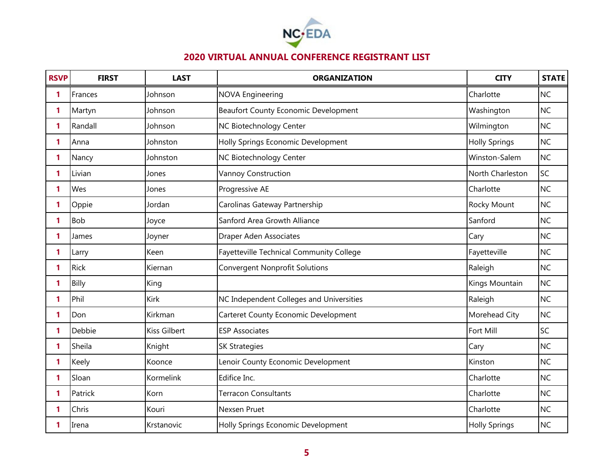

| <b>RSVP</b>  | <b>FIRST</b> | <b>LAST</b>         | <b>ORGANIZATION</b>                         | <b>CITY</b>          | <b>STATE</b> |
|--------------|--------------|---------------------|---------------------------------------------|----------------------|--------------|
| 1            | Frances      | Johnson             | <b>NOVA Engineering</b>                     | Charlotte            | <b>NC</b>    |
| 1            | Martyn       | Johnson             | <b>Beaufort County Economic Development</b> | Washington           | <b>NC</b>    |
| 1            | Randall      | Johnson             | NC Biotechnology Center                     | Wilmington           | <b>NC</b>    |
| 1            | Anna         | Johnston            | Holly Springs Economic Development          | <b>Holly Springs</b> | <b>NC</b>    |
| 1            | Nancy        | Johnston            | NC Biotechnology Center                     | Winston-Salem        | <b>NC</b>    |
| 1            | Livian       | Jones               | Vannoy Construction                         | North Charleston     | SC           |
| $\mathbf{1}$ | Wes          | Jones               | Progressive AE                              | Charlotte            | <b>NC</b>    |
| 1            | Oppie        | Jordan              | Carolinas Gateway Partnership               | Rocky Mount          | <b>NC</b>    |
| 1            | <b>Bob</b>   | Joyce               | Sanford Area Growth Alliance                | Sanford              | <b>NC</b>    |
| 1            | James        | Joyner              | Draper Aden Associates                      | Cary                 | <b>NC</b>    |
| 1            | Larry        | Keen                | Fayetteville Technical Community College    | Fayetteville         | <b>NC</b>    |
| 1            | Rick         | Kiernan             | <b>Convergent Nonprofit Solutions</b>       | Raleigh              | <b>NC</b>    |
| 1            | Billy        | King                |                                             | Kings Mountain       | <b>NC</b>    |
| 1            | Phil         | <b>Kirk</b>         | NC Independent Colleges and Universities    | Raleigh              | <b>NC</b>    |
| 1            | Don          | Kirkman             | Carteret County Economic Development        | Morehead City        | <b>NC</b>    |
| 1            | Debbie       | <b>Kiss Gilbert</b> | <b>ESP Associates</b>                       | Fort Mill            | SC           |
| 1            | Sheila       | Knight              | <b>SK Strategies</b>                        | Cary                 | <b>NC</b>    |
| 1            | Keely        | Koonce              | Lenoir County Economic Development          | Kinston              | <b>NC</b>    |
| 1            | Sloan        | Kormelink           | Edifice Inc.                                | Charlotte            | <b>NC</b>    |
| 1            | Patrick      | Korn                | <b>Terracon Consultants</b>                 | Charlotte            | <b>NC</b>    |
| 1            | Chris        | Kouri               | Nexsen Pruet                                | Charlotte            | <b>NC</b>    |
| 1            | Irena        | Krstanovic          | Holly Springs Economic Development          | <b>Holly Springs</b> | <b>NC</b>    |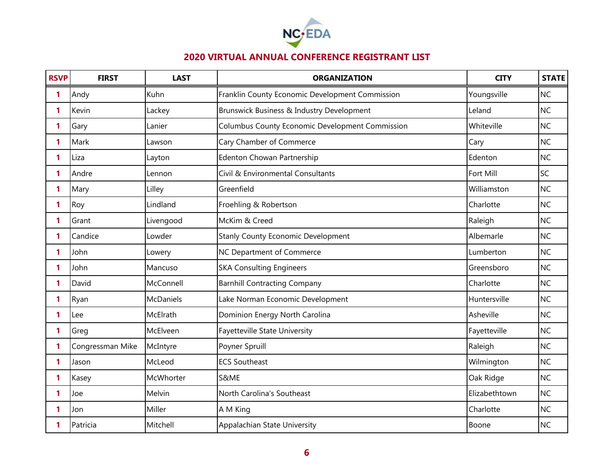

| <b>RSVP</b>  | <b>FIRST</b>     | <b>LAST</b>      | <b>ORGANIZATION</b>                             | <b>CITY</b>   | <b>STATE</b> |
|--------------|------------------|------------------|-------------------------------------------------|---------------|--------------|
| 1            | Andy             | Kuhn             | Franklin County Economic Development Commission | Youngsville   | <b>NC</b>    |
| 1            | Kevin            | Lackey           | Brunswick Business & Industry Development       | Leland        | <b>NC</b>    |
| 1            | Gary             | Lanier           | Columbus County Economic Development Commission | Whiteville    | <b>NC</b>    |
| $\mathbf{1}$ | Mark             | Lawson           | Cary Chamber of Commerce                        | Cary          | <b>NC</b>    |
| 1            | Liza             | Layton           | Edenton Chowan Partnership                      | Edenton       | <b>NC</b>    |
| 1            | Andre            | Lennon           | Civil & Environmental Consultants               | Fort Mill     | SC           |
| 1            | Mary             | Lilley           | Greenfield                                      | Williamston   | <b>NC</b>    |
| 1            | Roy              | Lindland         | Froehling & Robertson                           | Charlotte     | <b>NC</b>    |
| 1            | Grant            | Livengood        | McKim & Creed                                   | Raleigh       | <b>NC</b>    |
| 1            | Candice          | Lowder           | <b>Stanly County Economic Development</b>       | Albemarle     | <b>NC</b>    |
| 1            | John             | Lowery           | NC Department of Commerce                       | Lumberton     | <b>NC</b>    |
| 1            | John             | Mancuso          | <b>SKA Consulting Engineers</b>                 | Greensboro    | <b>NC</b>    |
| 1            | David            | McConnell        | <b>Barnhill Contracting Company</b>             | Charlotte     | <b>NC</b>    |
| 1            | Ryan             | <b>McDaniels</b> | Lake Norman Economic Development                | Huntersville  | <b>NC</b>    |
| 1            | Lee              | <b>McElrath</b>  | Dominion Energy North Carolina                  | Asheville     | <b>NC</b>    |
| 1            | Greg             | McElveen         | Fayetteville State University                   | Fayetteville  | <b>NC</b>    |
| 1            | Congressman Mike | McIntyre         | Poyner Spruill                                  | Raleigh       | <b>NC</b>    |
| 1            | Jason            | McLeod           | <b>ECS Southeast</b>                            | Wilmington    | <b>NC</b>    |
| 1            | Kasey            | McWhorter        | S&ME                                            | Oak Ridge     | <b>NC</b>    |
| $\mathbf{1}$ | Joe              | Melvin           | North Carolina's Southeast                      | Elizabethtown | <b>NC</b>    |
| 1            | Jon              | Miller           | A M King                                        | Charlotte     | <b>NC</b>    |
| 1            | Patricia         | Mitchell         | Appalachian State University                    | Boone         | <b>NC</b>    |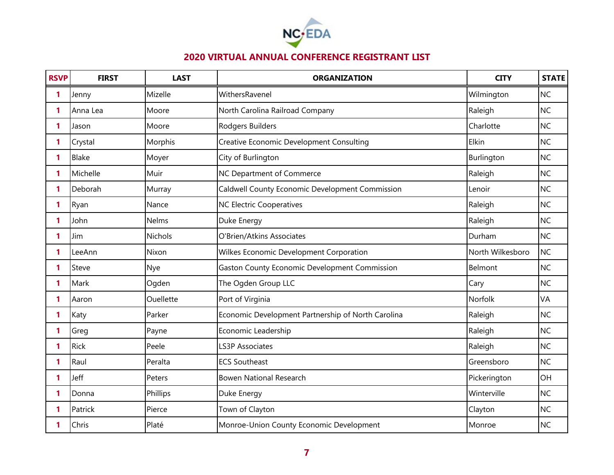

| <b>RSVP</b> | <b>FIRST</b> | <b>LAST</b>    | <b>ORGANIZATION</b>                                | <b>CITY</b>      | <b>STATE</b> |
|-------------|--------------|----------------|----------------------------------------------------|------------------|--------------|
| 1           | Jenny        | Mizelle        | WithersRavenel                                     | Wilmington       | <b>NC</b>    |
| 1           | Anna Lea     | Moore          | North Carolina Railroad Company                    | Raleigh          | <b>NC</b>    |
| 1           | Jason        | Moore          | Rodgers Builders                                   | Charlotte        | <b>NC</b>    |
| 1           | Crystal      | Morphis        | Creative Economic Development Consulting           | Elkin            | <b>NC</b>    |
| 1           | <b>Blake</b> | Moyer          | City of Burlington                                 | Burlington       | <b>NC</b>    |
| 1           | Michelle     | Muir           | NC Department of Commerce                          | Raleigh          | <b>NC</b>    |
| 1           | Deborah      | Murray         | Caldwell County Economic Development Commission    | Lenoir           | <b>NC</b>    |
| 1           | Ryan         | Nance          | <b>NC Electric Cooperatives</b>                    | Raleigh          | <b>NC</b>    |
| 1           | John         | Nelms          | Duke Energy                                        | Raleigh          | <b>NC</b>    |
| 1           | Jim          | <b>Nichols</b> | O'Brien/Atkins Associates                          | Durham           | <b>NC</b>    |
| 1           | LeeAnn       | Nixon          | Wilkes Economic Development Corporation            | North Wilkesboro | <b>NC</b>    |
| 1           | Steve        | Nye            | Gaston County Economic Development Commission      | Belmont          | <b>NC</b>    |
| 1           | Mark         | Ogden          | The Ogden Group LLC                                | Cary             | <b>NC</b>    |
| 1           | Aaron        | Ouellette      | Port of Virginia                                   | Norfolk          | VA           |
| 1           | Katy         | Parker         | Economic Development Partnership of North Carolina | Raleigh          | <b>NC</b>    |
| 1           | Greg         | Payne          | Economic Leadership                                | Raleigh          | <b>NC</b>    |
| 1           | <b>Rick</b>  | Peele          | <b>LS3P Associates</b>                             | Raleigh          | <b>NC</b>    |
| 1           | Raul         | Peralta        | <b>ECS Southeast</b>                               | Greensboro       | <b>NC</b>    |
| 1           | Jeff         | Peters         | <b>Bowen National Research</b>                     | Pickerington     | <b>OH</b>    |
| 1           | Donna        | Phillips       | Duke Energy                                        | Winterville      | <b>NC</b>    |
| 1           | Patrick      | Pierce         | Town of Clayton                                    | Clayton          | <b>NC</b>    |
| 1           | Chris        | Platé          | Monroe-Union County Economic Development           | Monroe           | <b>NC</b>    |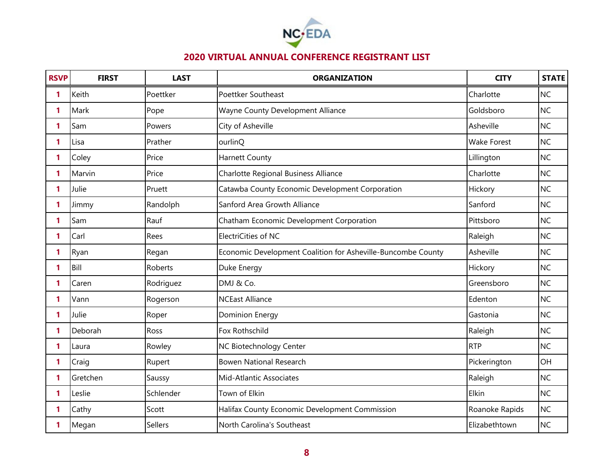

| <b>RSVP</b>  | <b>FIRST</b> | <b>LAST</b> | <b>ORGANIZATION</b>                                          | <b>CITY</b>        | <b>STATE</b> |
|--------------|--------------|-------------|--------------------------------------------------------------|--------------------|--------------|
| 1            | Keith        | Poettker    | Poettker Southeast                                           | Charlotte          | <b>NC</b>    |
| 1            | Mark         | Pope        | Wayne County Development Alliance                            | Goldsboro          | <b>NC</b>    |
| 1            | Sam          | Powers      | City of Asheville                                            | Asheville          | <b>NC</b>    |
| 1            | Lisa         | Prather     | ourlinQ                                                      | <b>Wake Forest</b> | <b>NC</b>    |
| 1            | Coley        | Price       | <b>Harnett County</b>                                        | Lillington         | <b>NC</b>    |
| 1            | Marvin       | Price       | Charlotte Regional Business Alliance                         | Charlotte          | <b>NC</b>    |
| 1            | Julie        | Pruett      | Catawba County Economic Development Corporation              | Hickory            | <b>NC</b>    |
| 1            | Jimmy        | Randolph    | Sanford Area Growth Alliance                                 | Sanford            | <b>NC</b>    |
| 1            | Sam          | Rauf        | Chatham Economic Development Corporation                     | Pittsboro          | <b>NC</b>    |
| 1            | Carl         | Rees        | ElectriCities of NC                                          | Raleigh            | NC           |
| 1            | Ryan         | Regan       | Economic Development Coalition for Asheville-Buncombe County | Asheville          | <b>NC</b>    |
| 1            | Bill         | Roberts     | Duke Energy                                                  | Hickory            | <b>NC</b>    |
| 1            | Caren        | Rodriguez   | DMJ & Co.                                                    | Greensboro         | <b>NC</b>    |
| 1            | Vann         | Rogerson    | <b>NCEast Alliance</b>                                       | Edenton            | <b>NC</b>    |
| 1            | Julie        | Roper       | <b>Dominion Energy</b>                                       | Gastonia           | <b>NC</b>    |
| 1            | Deborah      | Ross        | Fox Rothschild                                               | Raleigh            | <b>NC</b>    |
| $\mathbf{1}$ | Laura        | Rowley      | NC Biotechnology Center                                      | <b>RTP</b>         | <b>NC</b>    |
| 1            | Craig        | Rupert      | <b>Bowen National Research</b>                               | Pickerington       | OH           |
| 1            | Gretchen     | Saussy      | Mid-Atlantic Associates                                      | Raleigh            | <b>NC</b>    |
| 1            | Leslie       | Schlender   | Town of Elkin                                                | Elkin              | <b>NC</b>    |
| 1            | Cathy        | Scott       | Halifax County Economic Development Commission               | Roanoke Rapids     | <b>NC</b>    |
| 1            | Megan        | Sellers     | North Carolina's Southeast                                   | Elizabethtown      | <b>NC</b>    |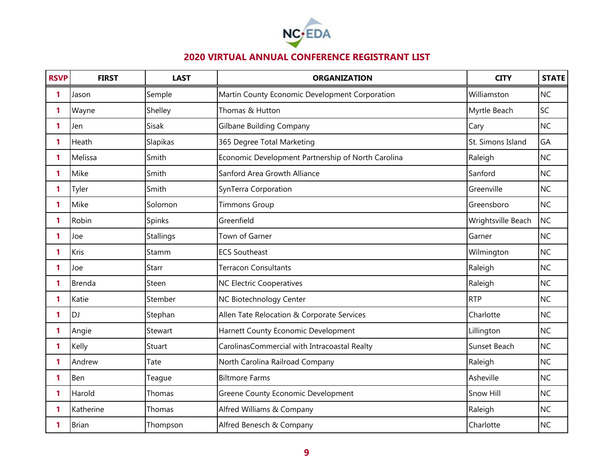

| <b>RSVP</b>  | <b>FIRST</b>  | <b>LAST</b> | <b>ORGANIZATION</b>                                | <b>CITY</b>        | <b>STATE</b> |
|--------------|---------------|-------------|----------------------------------------------------|--------------------|--------------|
| 1            | Jason         | Semple      | Martin County Economic Development Corporation     | Williamston        | <b>NC</b>    |
| 1            | Wayne         | Shelley     | Thomas & Hutton                                    | Myrtle Beach       | SC           |
| 1            | Jen           | Sisak       | <b>Gilbane Building Company</b>                    | Cary               | <b>NC</b>    |
| 1            | Heath         | Slapikas    | 365 Degree Total Marketing                         | St. Simons Island  | GA           |
| 1            | Melissa       | Smith       | Economic Development Partnership of North Carolina | Raleigh            | <b>NC</b>    |
| 1            | Mike          | Smith       | Sanford Area Growth Alliance                       | Sanford            | <b>NC</b>    |
| $\mathbf{1}$ | Tyler         | Smith       | SynTerra Corporation                               | Greenville         | <b>NC</b>    |
| 1            | Mike          | Solomon     | <b>Timmons Group</b>                               | Greensboro         | <b>NC</b>    |
| 1            | Robin         | Spinks      | Greenfield                                         | Wrightsville Beach | <b>NC</b>    |
| 1            | Joe           | Stallings   | Town of Garner                                     | Garner             | <b>NC</b>    |
| 1            | Kris          | Stamm       | <b>ECS Southeast</b>                               | Wilmington         | <b>NC</b>    |
| 1            | Joe           | Starr       | Terracon Consultants                               | Raleigh            | <b>NC</b>    |
| 1            | <b>Brenda</b> | Steen       | <b>NC Electric Cooperatives</b>                    | Raleigh            | <b>NC</b>    |
| 1            | Katie         | Stember     | NC Biotechnology Center                            | <b>RTP</b>         | <b>NC</b>    |
| 1            | DJ            | Stephan     | Allen Tate Relocation & Corporate Services         | Charlotte          | <b>NC</b>    |
| 1            | Angie         | Stewart     | Harnett County Economic Development                | Lillington         | <b>NC</b>    |
| 1            | Kelly         | Stuart      | CarolinasCommercial with Intracoastal Realty       | Sunset Beach       | <b>NC</b>    |
| 1            | Andrew        | Tate        | North Carolina Railroad Company                    | Raleigh            | <b>NC</b>    |
| 1            | Ben           | Teague      | <b>Biltmore Farms</b>                              | Asheville          | <b>NC</b>    |
| 1            | Harold        | Thomas      | Greene County Economic Development                 | <b>Snow Hill</b>   | <b>NC</b>    |
| 1            | Katherine     | Thomas      | Alfred Williams & Company                          | Raleigh            | <b>NC</b>    |
| 1            | <b>Brian</b>  | Thompson    | Alfred Benesch & Company                           | Charlotte          | <b>NC</b>    |